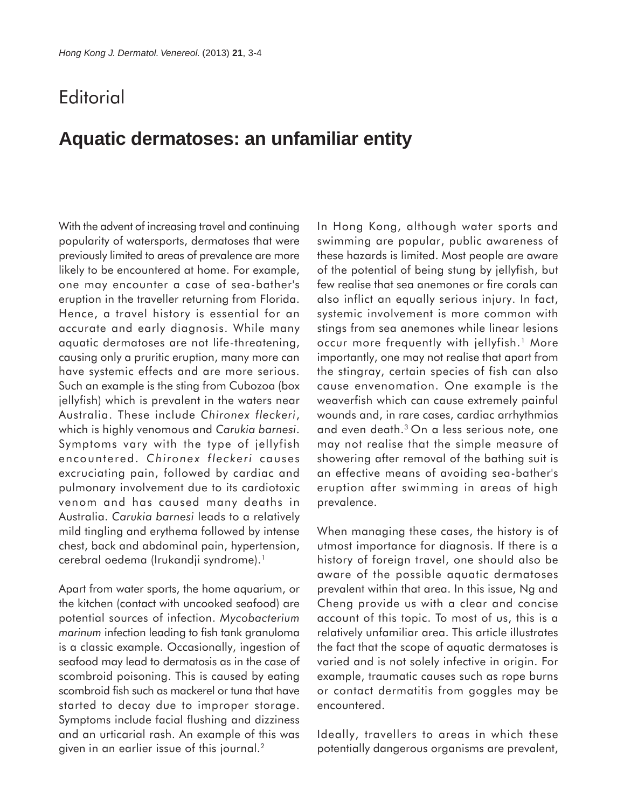## **Editorial**

## **Aquatic dermatoses: an unfamiliar entity**

With the advent of increasing travel and continuing popularity of watersports, dermatoses that were previously limited to areas of prevalence are more likely to be encountered at home. For example, one may encounter a case of sea-bather's eruption in the traveller returning from Florida. Hence, a travel history is essential for an accurate and early diagnosis. While many aquatic dermatoses are not life-threatening, causing only a pruritic eruption, many more can have systemic effects and are more serious. Such an example is the sting from Cubozoa (box jellyfish) which is prevalent in the waters near Australia. These include *Chironex fleckeri*, which is highly venomous and *Carukia barnesi*. Symptoms vary with the type of jellyfish encountered. *Chironex fleckeri* causes excruciating pain, followed by cardiac and pulmonary involvement due to its cardiotoxic venom and has caused many deaths in Australia. *Carukia barnesi* leads to a relatively mild tingling and erythema followed by intense chest, back and abdominal pain, hypertension, cerebral oedema (Irukandji syndrome).<sup>1</sup>

Apart from water sports, the home aquarium, or the kitchen (contact with uncooked seafood) are potential sources of infection. *Mycobacterium marinum* infection leading to fish tank granuloma is a classic example. Occasionally, ingestion of seafood may lead to dermatosis as in the case of scombroid poisoning. This is caused by eating scombroid fish such as mackerel or tuna that have started to decay due to improper storage. Symptoms include facial flushing and dizziness and an urticarial rash. An example of this was given in an earlier issue of this journal.<sup>2</sup>

In Hong Kong, although water sports and swimming are popular, public awareness of these hazards is limited. Most people are aware of the potential of being stung by jellyfish, but few realise that sea anemones or fire corals can also inflict an equally serious injury. In fact, systemic involvement is more common with stings from sea anemones while linear lesions occur more frequently with jellyfish.<sup>1</sup> More importantly, one may not realise that apart from the stingray, certain species of fish can also cause envenomation. One example is the weaverfish which can cause extremely painful wounds and, in rare cases, cardiac arrhythmias and even death.3 On a less serious note, one may not realise that the simple measure of showering after removal of the bathing suit is an effective means of avoiding sea-bather's eruption after swimming in areas of high prevalence.

When managing these cases, the history is of utmost importance for diagnosis. If there is a history of foreign travel, one should also be aware of the possible aquatic dermatoses prevalent within that area. In this issue, Ng and Cheng provide us with a clear and concise account of this topic. To most of us, this is a relatively unfamiliar area. This article illustrates the fact that the scope of aquatic dermatoses is varied and is not solely infective in origin. For example, traumatic causes such as rope burns or contact dermatitis from goggles may be encountered.

Ideally, travellers to areas in which these potentially dangerous organisms are prevalent,